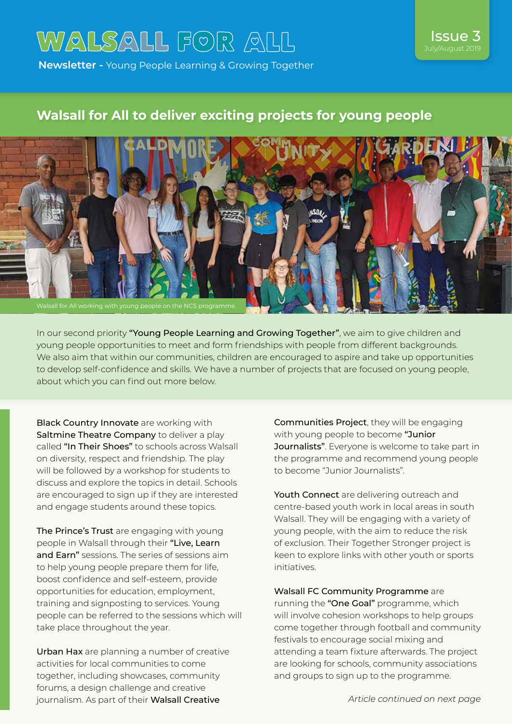# WALSALL FOR ALL

**Newsletter -** Young People Learning & Growing Together

## **Walsall for All to deliver exciting projects for young people**



In our second priority "Young People Learning and Growing Together", we aim to give children and young people opportunities to meet and form friendships with people from different backgrounds. We also aim that within our communities, children are encouraged to aspire and take up opportunities to develop self-confidence and skills. We have a number of projects that are focused on young people, about which you can find out more below.

Black Country Innovate are working with Saltmine Theatre Company to deliver a play called "In Their Shoes" to schools across Walsall on diversity, respect and friendship. The play will be followed by a workshop for students to discuss and explore the topics in detail. Schools are encouraged to sign up if they are interested and engage students around these topics.

The Prince's Trust are engaging with young people in Walsall through their "Live, Learn and Earn" sessions. The series of sessions aim to help young people prepare them for life, boost confidence and self-esteem, provide opportunities for education, employment, training and signposting to services. Young people can be referred to the sessions which will take place throughout the year.

Urban Hax are planning a number of creative activities for local communities to come together, including showcases, community forums, a design challenge and creative journalism. As part of their Walsall Creative

Communities Project, they will be engaging with young people to become "Junior Journalists". Everyone is welcome to take part in the programme and recommend young people to become "Junior Journalists".

Issue 3 July/August

Youth Connect are delivering outreach and centre-based youth work in local areas in south Walsall. They will be engaging with a variety of young people, with the aim to reduce the risk of exclusion. Their Together Stronger project is keen to explore links with other youth or sports initiatives.

Walsall FC Community Programme are running the "One Goal" programme, which will involve cohesion workshops to help groups come together through football and community festivals to encourage social mixing and attending a team fixture afterwards. The project are looking for schools, community associations and groups to sign up to the programme.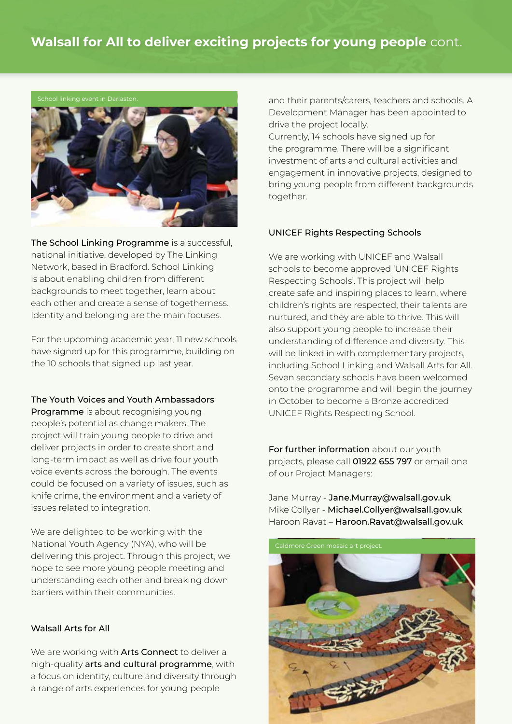## **Walsall for All to deliver exciting projects for young people** cont.



The School Linking Programme is a successful, national initiative, developed by The Linking Network, based in Bradford. School Linking is about enabling children from different backgrounds to meet together, learn about each other and create a sense of togetherness. Identity and belonging are the main focuses.

For the upcoming academic year, 11 new schools have signed up for this programme, building on the 10 schools that signed up last year.

#### The Youth Voices and Youth Ambassadors

Programme is about recognising young people's potential as change makers. The project will train young people to drive and deliver projects in order to create short and long-term impact as well as drive four youth voice events across the borough. The events could be focused on a variety of issues, such as knife crime, the environment and a variety of issues related to integration.

We are delighted to be working with the National Youth Agency (NYA), who will be delivering this project. Through this project, we hope to see more young people meeting and understanding each other and breaking down barriers within their communities.

### Walsall Arts for All

We are working with **Arts Connect** to deliver a high-quality arts and cultural programme, with a focus on identity, culture and diversity through a range of arts experiences for young people

and their parents/carers, teachers and schools. A Development Manager has been appointed to drive the project locally.

Currently, 14 schools have signed up for the programme. There will be a significant investment of arts and cultural activities and engagement in innovative projects, designed to bring young people from different backgrounds together.

#### UNICEF Rights Respecting Schools

We are working with UNICEF and Walsall schools to become approved 'UNICEF Rights Respecting Schools'. This project will help create safe and inspiring places to learn, where children's rights are respected, their talents are nurtured, and they are able to thrive. This will also support young people to increase their understanding of difference and diversity. This will be linked in with complementary projects, including School Linking and Walsall Arts for All. Seven secondary schools have been welcomed onto the programme and will begin the journey in October to become a Bronze accredited UNICEF Rights Respecting School.

For further information about our youth projects, please call 01922 655 797 or email one of our Project Managers:

Jane Murray - Jane.Murray@walsall.gov.uk Mike Collyer - Michael.Collyer@walsall.gov.uk Haroon Ravat – Haroon.Ravat@walsall.gov.uk

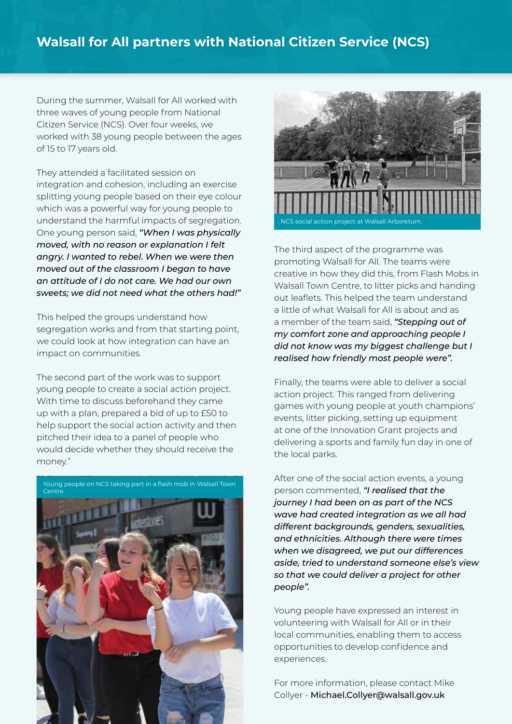## **Walsall for All partners with National Citizen Service (NCS)**

During the summer, Walsall for All worked with three waves of young people from National Citizen Service (NCS). Over four weeks, we worked with 38 young people between the ages of 15 to 17 years old.

They attended a facilitated session on integration and cohesion, including an exercise splitting young people based on their eye colour which was a powerful way for young people to understand the harmful impacts of segregation. One young person said, *"When I was physically moved, with no reason or explanation I felt angry. I wanted to rebel. When we were then moved out of the classroom I began to have an attitude of I do not care. We had our own sweets; we did not need what the others had!"*

This helped the groups understand how segregation works and from that starting point, we could look at how integration can have an impact on communities.

The second part of the work was to support young people to create a social action project. With time to discuss beforehand they came up with a plan, prepared a bid of up to £50 to help support the social action activity and then pitched their idea to a panel of people who would decide whether they should receive the money."





The third aspect of the programme was promoting Walsall for All. The teams were creative in how they did this, from Flash Mobs in Walsall Town Centre, to litter picks and handing out leaflets. This helped the team understand a little of what Walsall for All is about and as a member of the team said, *"Stepping out of my comfort zone and approaching people I did not know was my biggest challenge but I realised how friendly most people were".*

Finally, the teams were able to deliver a social action project. This ranged from delivering games with young people at youth champions' events, litter picking, setting up equipment at one of the Innovation Grant projects and delivering a sports and family fun day in one of the local parks.

After one of the social action events, a young person commented, *"I realised that the journey I had been on as part of the NCS wave had created integration as we all had different backgrounds, genders, sexualities, and ethnicities. Although there were times when we disagreed, we put our differences aside, tried to understand someone else's view so that we could deliver a project for other people".* 

Young people have expressed an interest in volunteering with Walsall for All or in their local communities, enabling them to access opportunities to develop confidence and experiences.

For more information, please contact Mike Collyer - Michael.Collyer@walsall.gov.uk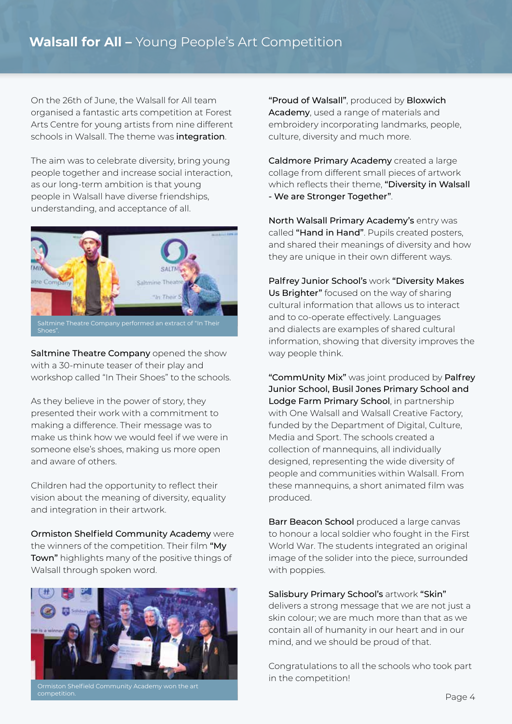On the 26th of June, the Walsall for All team organised a fantastic arts competition at Forest Arts Centre for young artists from nine different schools in Walsall. The theme was integration.

The aim was to celebrate diversity, bring young people together and increase social interaction, as our long-term ambition is that young people in Walsall have diverse friendships, understanding, and acceptance of all.



Saltmine Theatre Company opened the show with a 30-minute teaser of their play and workshop called "In Their Shoes" to the schools.

As they believe in the power of story, they presented their work with a commitment to making a difference. Their message was to make us think how we would feel if we were in someone else's shoes, making us more open and aware of others.

Children had the opportunity to reflect their vision about the meaning of diversity, equality and integration in their artwork.

Ormiston Shelfield Community Academy were the winners of the competition. Their film "My Town" highlights many of the positive things of Walsall through spoken word.



Ormiston Shelfield Community Academy won the art

"Proud of Walsall", produced by Bloxwich Academy, used a range of materials and embroidery incorporating landmarks, people, culture, diversity and much more.

Caldmore Primary Academy created a large collage from different small pieces of artwork which reflects their theme, "Diversity in Walsall - We are Stronger Together".

North Walsall Primary Academy's entry was called "Hand in Hand". Pupils created posters, and shared their meanings of diversity and how they are unique in their own different ways.

Palfrey Junior School's work "Diversity Makes Us Brighter" focused on the way of sharing cultural information that allows us to interact and to co-operate effectively. Languages and dialects are examples of shared cultural information, showing that diversity improves the way people think.

"CommUnity Mix" was joint produced by Palfrey Junior School, Busil Jones Primary School and Lodge Farm Primary School, in partnership with One Walsall and Walsall Creative Factory, funded by the Department of Digital, Culture, Media and Sport. The schools created a collection of mannequins, all individually designed, representing the wide diversity of people and communities within Walsall. From these mannequins, a short animated film was produced.

Barr Beacon School produced a large canvas to honour a local soldier who fought in the First World War. The students integrated an original image of the solider into the piece, surrounded with poppies.

Salisbury Primary School's artwork "Skin" delivers a strong message that we are not just a skin colour; we are much more than that as we contain all of humanity in our heart and in our mind, and we should be proud of that.

Congratulations to all the schools who took part in the competition!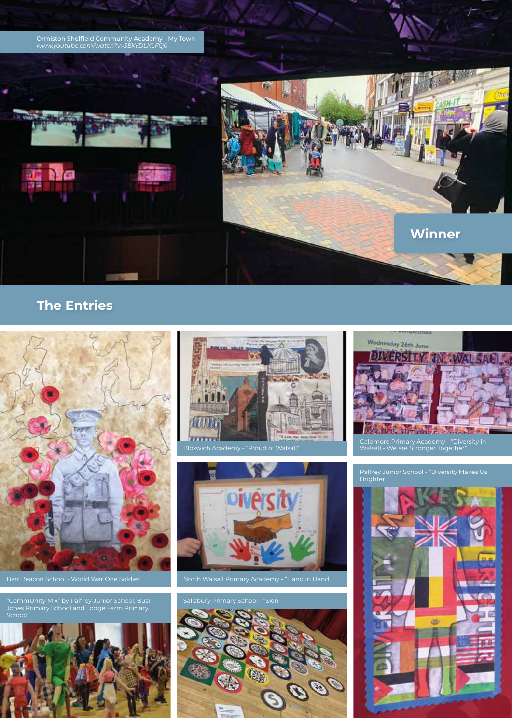

## **The Entries**



Barr Beacon School - World War One Soldier North Walsall Primary Academy - "Hand in Hand"

"CommUnity Mix" by Palfrey Junior School, Busil Salisbury Primary School - "Skin" Jones Primary School and Lodge Farm Primary School











Caldmore Primary Academy - "Diversity in Walsall - We are Stronger Together"

#### Palfrey Junior School - "Diversity Makes Us Brighter"

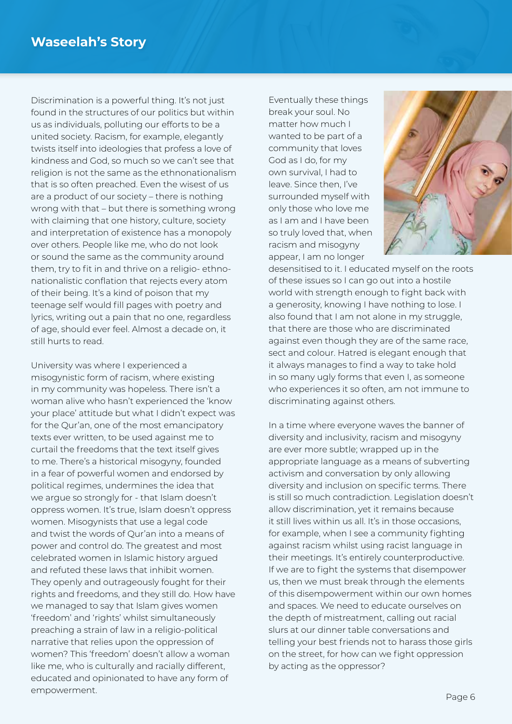Discrimination is a powerful thing. It's not just found in the structures of our politics but within us as individuals, polluting our efforts to be a united society. Racism, for example, elegantly twists itself into ideologies that profess a love of kindness and God, so much so we can't see that religion is not the same as the ethnonationalism that is so often preached. Even the wisest of us are a product of our society – there is nothing wrong with that – but there is something wrong with claiming that one history, culture, society and interpretation of existence has a monopoly over others. People like me, who do not look or sound the same as the community around them, try to fit in and thrive on a religio- ethnonationalistic conflation that rejects every atom of their being. It's a kind of poison that my teenage self would fill pages with poetry and lyrics, writing out a pain that no one, regardless of age, should ever feel. Almost a decade on, it still hurts to read.

University was where I experienced a misogynistic form of racism, where existing in my community was hopeless. There isn't a woman alive who hasn't experienced the 'know your place' attitude but what I didn't expect was for the Qur'an, one of the most emancipatory texts ever written, to be used against me to curtail the freedoms that the text itself gives to me. There's a historical misogyny, founded in a fear of powerful women and endorsed by political regimes, undermines the idea that we argue so strongly for - that Islam doesn't oppress women. It's true, Islam doesn't oppress women. Misogynists that use a legal code and twist the words of Qur'an into a means of power and control do. The greatest and most celebrated women in Islamic history argued and refuted these laws that inhibit women. They openly and outrageously fought for their rights and freedoms, and they still do. How have we managed to say that Islam gives women 'freedom' and 'rights' whilst simultaneously preaching a strain of law in a religio-political narrative that relies upon the oppression of women? This 'freedom' doesn't allow a woman like me, who is culturally and racially different, educated and opinionated to have any form of empowerment.

Eventually these things break your soul. No matter how much I wanted to be part of a community that loves God as I do, for my own survival, I had to leave. Since then, I've surrounded myself with only those who love me as I am and I have been so truly loved that, when racism and misogyny appear, I am no longer



desensitised to it. I educated myself on the roots of these issues so I can go out into a hostile world with strength enough to fight back with a generosity, knowing I have nothing to lose. I also found that I am not alone in my struggle, that there are those who are discriminated against even though they are of the same race, sect and colour. Hatred is elegant enough that it always manages to find a way to take hold in so many ugly forms that even I, as someone who experiences it so often, am not immune to discriminating against others.

In a time where everyone waves the banner of diversity and inclusivity, racism and misogyny are ever more subtle; wrapped up in the appropriate language as a means of subverting activism and conversation by only allowing diversity and inclusion on specific terms. There is still so much contradiction. Legislation doesn't allow discrimination, yet it remains because it still lives within us all. It's in those occasions, for example, when I see a community fighting against racism whilst using racist language in their meetings. It's entirely counterproductive. If we are to fight the systems that disempower us, then we must break through the elements of this disempowerment within our own homes and spaces. We need to educate ourselves on the depth of mistreatment, calling out racial slurs at our dinner table conversations and telling your best friends not to harass those girls on the street, for how can we fight oppression by acting as the oppressor?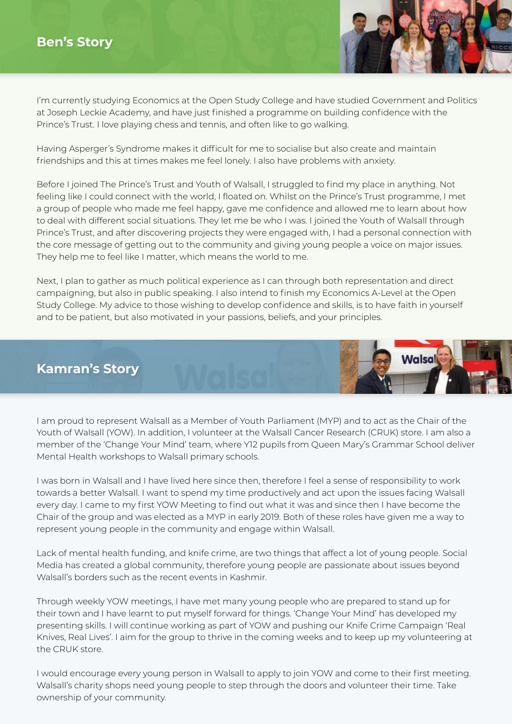

I'm currently studying Economics at the Open Study College and have studied Government and Politics at Joseph Leckie Academy, and have just finished a programme on building confidence with the Prince's Trust. I love playing chess and tennis, and often like to go walking.

Having Asperger's Syndrome makes it difficult for me to socialise but also create and maintain friendships and this at times makes me feel lonely. I also have problems with anxiety.

Before I joined The Prince's Trust and Youth of Walsall, I struggled to find my place in anything. Not feeling like I could connect with the world, I floated on. Whilst on the Prince's Trust programme, I met a group of people who made me feel happy, gave me confidence and allowed me to learn about how to deal with different social situations. They let me be who I was. I joined the Youth of Walsall through Prince's Trust, and after discovering projects they were engaged with, I had a personal connection with the core message of getting out to the community and giving young people a voice on major issues. They help me to feel like I matter, which means the world to me.

Next, I plan to gather as much political experience as I can through both representation and direct campaigning, but also in public speaking. I also intend to finish my Economics A-Level at the Open Study College. My advice to those wishing to develop confidence and skills, is to have faith in yourself and to be patient, but also motivated in your passions, beliefs, and your principles.

## **Kamran's Story**



I am proud to represent Walsall as a Member of Youth Parliament (MYP) and to act as the Chair of the Youth of Walsall (YOW). In addition, I volunteer at the Walsall Cancer Research (CRUK) store. I am also a member of the 'Change Your Mind' team, where Y12 pupils from Queen Mary's Grammar School deliver Mental Health workshops to Walsall primary schools.

I was born in Walsall and I have lived here since then, therefore I feel a sense of responsibility to work towards a better Walsall. I want to spend my time productively and act upon the issues facing Walsall every day. I came to my first YOW Meeting to find out what it was and since then I have become the Chair of the group and was elected as a MYP in early 2019. Both of these roles have given me a way to represent young people in the community and engage within Walsall.

Lack of mental health funding, and knife crime, are two things that affect a lot of young people. Social Media has created a global community, therefore young people are passionate about issues beyond Walsall's borders such as the recent events in Kashmir.

Through weekly YOW meetings, I have met many young people who are prepared to stand up for their town and I have learnt to put myself forward for things. 'Change Your Mind' has developed my presenting skills. I will continue working as part of YOW and pushing our Knife Crime Campaign 'Real Knives, Real Lives'. I aim for the group to thrive in the coming weeks and to keep up my volunteering at the CRUK store.

I would encourage every young person in Walsall to apply to join YOW and come to their first meeting. Walsall's charity shops need young people to step through the doors and volunteer their time. Take ownership of your community.